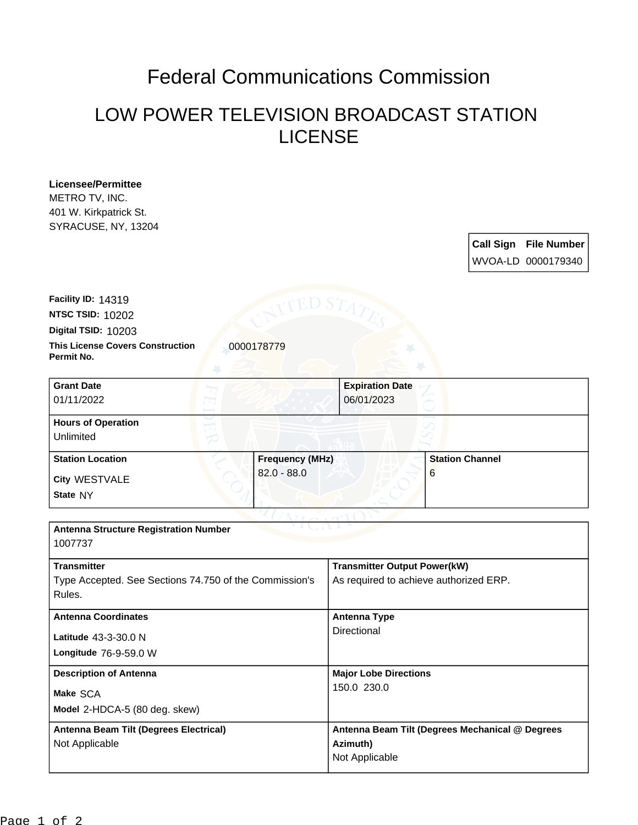## Federal Communications Commission

## LOW POWER TELEVISION BROADCAST STATION LICENSE

**Licensee/Permittee** METRO TV, INC. 401 W. Kirkpatrick St. SYRACUSE, NY, 13204

> **Call Sign File Number** WVOA-LD 0000179340

**This License Covers Construction**  0000178779 **Digital TSID:** 10203 **NTSC TSID:** 10202 **Facility ID:** 14319

**Permit No.**

| <b>Grant Date</b><br>01/11/2022        | <b>Expiration Date</b><br>06/01/2023 |                        |
|----------------------------------------|--------------------------------------|------------------------|
| <b>Hours of Operation</b><br>Unlimited |                                      | I                      |
| <b>Station Location</b>                | <b>Frequency (MHz)</b>               | <b>Station Channel</b> |
| City WESTVALE<br>State NY              | $82.0 - 88.0$                        | 6                      |

| <b>Antenna Structure Registration Number</b><br>1007737                                |                                                                               |  |  |
|----------------------------------------------------------------------------------------|-------------------------------------------------------------------------------|--|--|
| <b>Transmitter</b><br>Type Accepted. See Sections 74.750 of the Commission's<br>Rules. | <b>Transmitter Output Power(kW)</b><br>As required to achieve authorized ERP. |  |  |
| <b>Antenna Coordinates</b><br>Latitude $43-3-30.0$ N<br>Longitude $76-9-59.0 W$        | Antenna Type<br>Directional                                                   |  |  |
| <b>Description of Antenna</b><br>Make SCA<br>Model 2-HDCA-5 (80 deg. skew)             | <b>Major Lobe Directions</b><br>150.0 230.0                                   |  |  |
| Antenna Beam Tilt (Degrees Electrical)<br>Not Applicable                               | Antenna Beam Tilt (Degrees Mechanical @ Degrees<br>Azimuth)<br>Not Applicable |  |  |